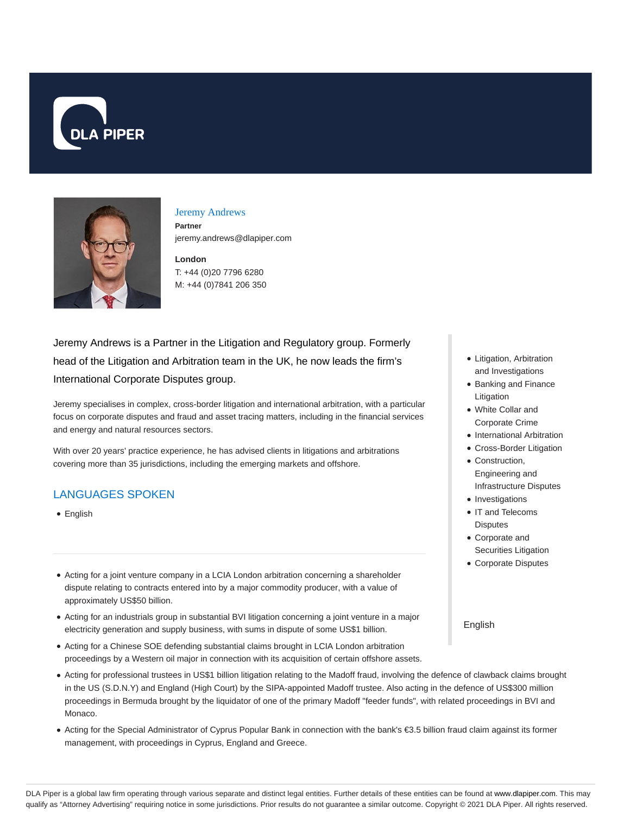



#### Jeremy Andrews

**Partner** jeremy.andrews@dlapiper.com

**London** T: +44 (0)20 7796 6280 M: +44 (0)7841 206 350

Jeremy Andrews is a Partner in the Litigation and Regulatory group. Formerly head of the Litigation and Arbitration team in the UK, he now leads the firm's International Corporate Disputes group.

Jeremy specialises in complex, cross-border litigation and international arbitration, with a particular focus on corporate disputes and fraud and asset tracing matters, including in the financial services and energy and natural resources sectors.

With over 20 years' practice experience, he has advised clients in litigations and arbitrations covering more than 35 jurisdictions, including the emerging markets and offshore.

### LANGUAGES SPOKEN

• English

- Acting for a joint venture company in a LCIA London arbitration concerning a shareholder dispute relating to contracts entered into by a major commodity producer, with a value of approximately US\$50 billion.
- Acting for an industrials group in substantial BVI litigation concerning a joint venture in a major electricity generation and supply business, with sums in dispute of some US\$1 billion.
- Acting for a Chinese SOE defending substantial claims brought in LCIA London arbitration proceedings by a Western oil major in connection with its acquisition of certain offshore assets.
- Acting for professional trustees in US\$1 billion litigation relating to the Madoff fraud, involving the defence of clawback claims brought in the US (S.D.N.Y) and England (High Court) by the SIPA-appointed Madoff trustee. Also acting in the defence of US\$300 million proceedings in Bermuda brought by the liquidator of one of the primary Madoff "feeder funds", with related proceedings in BVI and Monaco.
- Acting for the Special Administrator of Cyprus Popular Bank in connection with the bank's €3.5 billion fraud claim against its former management, with proceedings in Cyprus, England and Greece.
- Litigation, Arbitration and Investigations
- Banking and Finance Litigation
- White Collar and Corporate Crime
- International Arbitration
- Cross-Border Litigation
- Construction, Engineering and Infrastructure Disputes
- Investigations
- IT and Telecoms **Disputes**
- Corporate and Securities Litigation
- Corporate Disputes

English